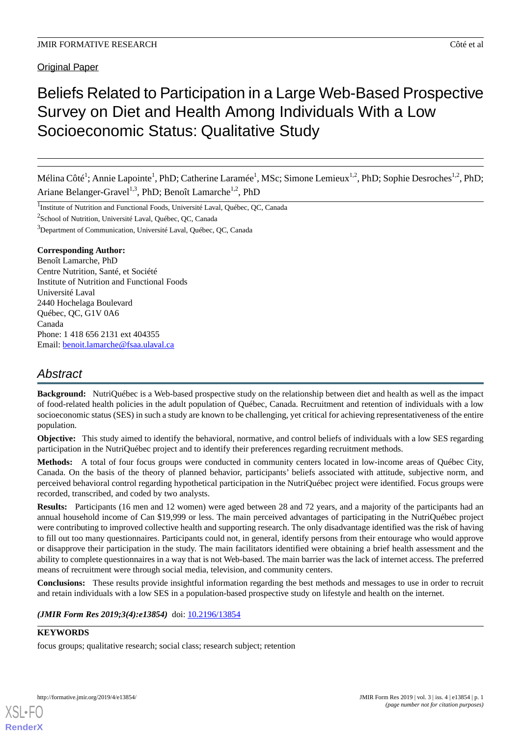Original Paper

# Beliefs Related to Participation in a Large Web-Based Prospective Survey on Diet and Health Among Individuals With a Low Socioeconomic Status: Qualitative Study

Mélina Côté<sup>1</sup>; Annie Lapointe<sup>1</sup>, PhD; Catherine Laramée<sup>1</sup>, MSc; Simone Lemieux<sup>1,2</sup>, PhD; Sophie Desroches<sup>1,2</sup>, PhD; Ariane Belanger-Gravel<sup>1,3</sup>, PhD; Benoît Lamarche<sup>1,2</sup>, PhD

<sup>1</sup>Institute of Nutrition and Functional Foods, Université Laval, Québec, QC, Canada

<sup>2</sup>School of Nutrition, Université Laval, Québec, QC, Canada

<sup>3</sup>Department of Communication, Université Laval, Québec, QC, Canada

# **Corresponding Author:**

Benoît Lamarche, PhD Centre Nutrition, Santé, et Société Institute of Nutrition and Functional Foods Université Laval 2440 Hochelaga Boulevard Québec, QC, G1V 0A6 Canada Phone: 1 418 656 2131 ext 404355 Email: [benoit.lamarche@fsaa.ulaval.ca](mailto:benoit.lamarche@fsaa.ulaval.ca)

# *Abstract*

**Background:** NutriQuébec is a Web-based prospective study on the relationship between diet and health as well as the impact of food-related health policies in the adult population of Québec, Canada. Recruitment and retention of individuals with a low socioeconomic status (SES) in such a study are known to be challenging, yet critical for achieving representativeness of the entire population.

**Objective:** This study aimed to identify the behavioral, normative, and control beliefs of individuals with a low SES regarding participation in the NutriQuébec project and to identify their preferences regarding recruitment methods.

**Methods:** A total of four focus groups were conducted in community centers located in low-income areas of Québec City, Canada. On the basis of the theory of planned behavior, participants' beliefs associated with attitude, subjective norm, and perceived behavioral control regarding hypothetical participation in the NutriQuébec project were identified. Focus groups were recorded, transcribed, and coded by two analysts.

**Results:** Participants (16 men and 12 women) were aged between 28 and 72 years, and a majority of the participants had an annual household income of Can \$19,999 or less. The main perceived advantages of participating in the NutriQuébec project were contributing to improved collective health and supporting research. The only disadvantage identified was the risk of having to fill out too many questionnaires. Participants could not, in general, identify persons from their entourage who would approve or disapprove their participation in the study. The main facilitators identified were obtaining a brief health assessment and the ability to complete questionnaires in a way that is not Web-based. The main barrier was the lack of internet access. The preferred means of recruitment were through social media, television, and community centers.

**Conclusions:** These results provide insightful information regarding the best methods and messages to use in order to recruit and retain individuals with a low SES in a population-based prospective study on lifestyle and health on the internet.

*(JMIR Form Res 2019;3(4):e13854)* doi:  $\frac{10.2196}{13854}$ 

# **KEYWORDS**

[XSL](http://www.w3.org/Style/XSL)•FO **[RenderX](http://www.renderx.com/)**

focus groups; qualitative research; social class; research subject; retention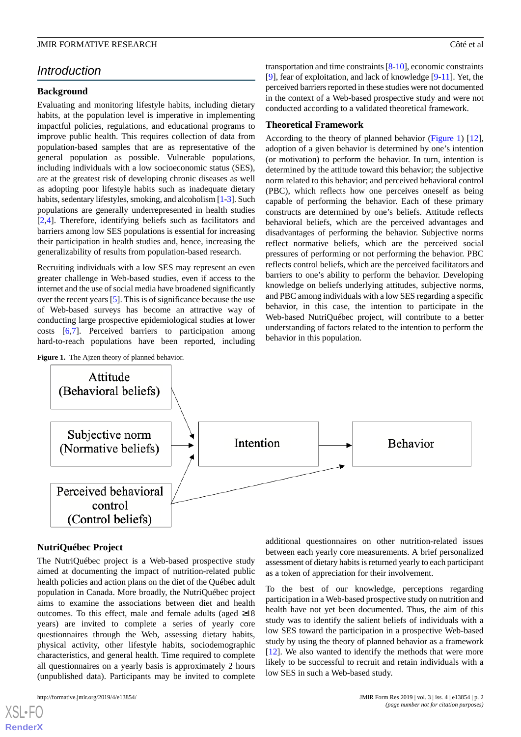# *Introduction*

#### **Background**

Evaluating and monitoring lifestyle habits, including dietary habits, at the population level is imperative in implementing impactful policies, regulations, and educational programs to improve public health. This requires collection of data from population-based samples that are as representative of the general population as possible. Vulnerable populations, including individuals with a low socioeconomic status (SES), are at the greatest risk of developing chronic diseases as well as adopting poor lifestyle habits such as inadequate dietary habits, sedentary lifestyles, smoking, and alcoholism [\[1](#page-7-0)-[3](#page-7-1)]. Such populations are generally underrepresented in health studies [[2](#page-7-2)[,4](#page-7-3)]. Therefore, identifying beliefs such as facilitators and barriers among low SES populations is essential for increasing their participation in health studies and, hence, increasing the generalizability of results from population-based research.

Recruiting individuals with a low SES may represent an even greater challenge in Web-based studies, even if access to the internet and the use of social media have broadened significantly over the recent years [[5\]](#page-7-4). This is of significance because the use of Web-based surveys has become an attractive way of conducting large prospective epidemiological studies at lower costs [[6,](#page-7-5)[7](#page-7-6)]. Perceived barriers to participation among hard-to-reach populations have been reported, including

<span id="page-1-0"></span>

transportation and time constraints [[8](#page-7-7)[-10](#page-7-8)], economic constraints [[9\]](#page-7-9), fear of exploitation, and lack of knowledge [[9](#page-7-9)[-11](#page-7-10)]. Yet, the perceived barriers reported in these studies were not documented in the context of a Web-based prospective study and were not conducted according to a validated theoretical framework.

#### **Theoretical Framework**

According to the theory of planned behavior ([Figure 1\)](#page-1-0) [[12\]](#page-7-11), adoption of a given behavior is determined by one's intention (or motivation) to perform the behavior. In turn, intention is determined by the attitude toward this behavior; the subjective norm related to this behavior; and perceived behavioral control (PBC), which reflects how one perceives oneself as being capable of performing the behavior. Each of these primary constructs are determined by one's beliefs. Attitude reflects behavioral beliefs, which are the perceived advantages and disadvantages of performing the behavior. Subjective norms reflect normative beliefs, which are the perceived social pressures of performing or not performing the behavior. PBC reflects control beliefs, which are the perceived facilitators and barriers to one's ability to perform the behavior. Developing knowledge on beliefs underlying attitudes, subjective norms, and PBC among individuals with a low SES regarding a specific behavior, in this case, the intention to participate in the Web-based NutriQuébec project, will contribute to a better understanding of factors related to the intention to perform the behavior in this population.



# **NutriQuébec Project**

The NutriQuébec project is a Web-based prospective study aimed at documenting the impact of nutrition-related public health policies and action plans on the diet of the Québec adult population in Canada. More broadly, the NutriQuébec project aims to examine the associations between diet and health outcomes. To this effect, male and female adults (aged  $\geq 18$ ) years) are invited to complete a series of yearly core questionnaires through the Web, assessing dietary habits, physical activity, other lifestyle habits, sociodemographic characteristics, and general health. Time required to complete all questionnaires on a yearly basis is approximately 2 hours (unpublished data). Participants may be invited to complete

[XSL](http://www.w3.org/Style/XSL)•FO **[RenderX](http://www.renderx.com/)**

additional questionnaires on other nutrition-related issues between each yearly core measurements. A brief personalized assessment of dietary habits is returned yearly to each participant as a token of appreciation for their involvement.

To the best of our knowledge, perceptions regarding participation in a Web-based prospective study on nutrition and health have not yet been documented. Thus, the aim of this study was to identify the salient beliefs of individuals with a low SES toward the participation in a prospective Web-based study by using the theory of planned behavior as a framework [[12\]](#page-7-11). We also wanted to identify the methods that were more likely to be successful to recruit and retain individuals with a low SES in such a Web-based study.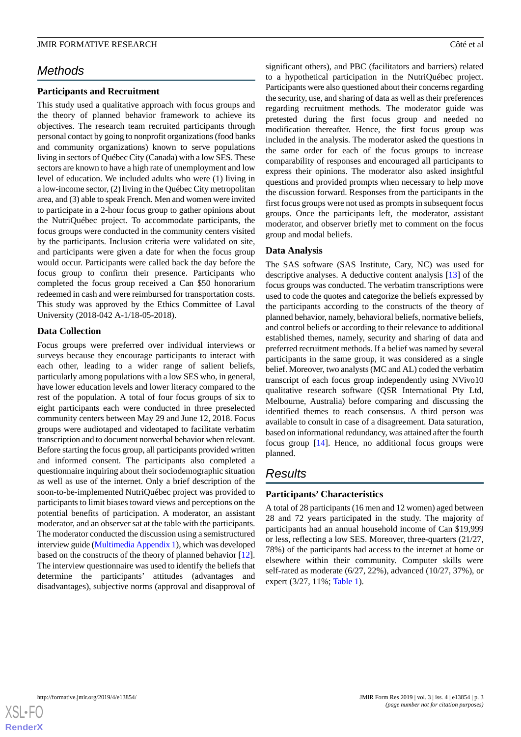# *Methods*

### **Participants and Recruitment**

This study used a qualitative approach with focus groups and the theory of planned behavior framework to achieve its objectives. The research team recruited participants through personal contact by going to nonprofit organizations (food banks and community organizations) known to serve populations living in sectors of Québec City (Canada) with a low SES. These sectors are known to have a high rate of unemployment and low level of education. We included adults who were (1) living in a low-income sector, (2) living in the Québec City metropolitan area, and (3) able to speak French. Men and women were invited to participate in a 2-hour focus group to gather opinions about the NutriQuébec project. To accommodate participants, the focus groups were conducted in the community centers visited by the participants. Inclusion criteria were validated on site, and participants were given a date for when the focus group would occur. Participants were called back the day before the focus group to confirm their presence. Participants who completed the focus group received a Can \$50 honorarium redeemed in cash and were reimbursed for transportation costs. This study was approved by the Ethics Committee of Laval University (2018-042 A-1/18-05-2018).

### **Data Collection**

Focus groups were preferred over individual interviews or surveys because they encourage participants to interact with each other, leading to a wider range of salient beliefs, particularly among populations with a low SES who, in general, have lower education levels and lower literacy compared to the rest of the population. A total of four focus groups of six to eight participants each were conducted in three preselected community centers between May 29 and June 12, 2018. Focus groups were audiotaped and videotaped to facilitate verbatim transcription and to document nonverbal behavior when relevant. Before starting the focus group, all participants provided written and informed consent. The participants also completed a questionnaire inquiring about their sociodemographic situation as well as use of the internet. Only a brief description of the soon-to-be-implemented NutriQuébec project was provided to participants to limit biases toward views and perceptions on the potential benefits of participation. A moderator, an assistant moderator, and an observer sat at the table with the participants. The moderator conducted the discussion using a semistructured interview guide [\(Multimedia Appendix 1](#page-6-0)), which was developed based on the constructs of the theory of planned behavior [[12\]](#page-7-11). The interview questionnaire was used to identify the beliefs that determine the participants' attitudes (advantages and disadvantages), subjective norms (approval and disapproval of

significant others), and PBC (facilitators and barriers) related to a hypothetical participation in the NutriQuébec project. Participants were also questioned about their concerns regarding the security, use, and sharing of data as well as their preferences regarding recruitment methods. The moderator guide was pretested during the first focus group and needed no modification thereafter. Hence, the first focus group was included in the analysis. The moderator asked the questions in the same order for each of the focus groups to increase comparability of responses and encouraged all participants to express their opinions. The moderator also asked insightful questions and provided prompts when necessary to help move the discussion forward. Responses from the participants in the first focus groups were not used as prompts in subsequent focus groups. Once the participants left, the moderator, assistant moderator, and observer briefly met to comment on the focus group and modal beliefs.

# **Data Analysis**

The SAS software (SAS Institute, Cary, NC) was used for descriptive analyses. A deductive content analysis [[13\]](#page-7-12) of the focus groups was conducted. The verbatim transcriptions were used to code the quotes and categorize the beliefs expressed by the participants according to the constructs of the theory of planned behavior, namely, behavioral beliefs, normative beliefs, and control beliefs or according to their relevance to additional established themes, namely, security and sharing of data and preferred recruitment methods. If a belief was named by several participants in the same group, it was considered as a single belief. Moreover, two analysts (MC and AL) coded the verbatim transcript of each focus group independently using NVivo10 qualitative research software (QSR International Pty Ltd, Melbourne, Australia) before comparing and discussing the identified themes to reach consensus. A third person was available to consult in case of a disagreement. Data saturation, based on informational redundancy, was attained after the fourth focus group [[14\]](#page-7-13). Hence, no additional focus groups were planned.

# *Results*

# **Participants' Characteristics**

A total of 28 participants (16 men and 12 women) aged between 28 and 72 years participated in the study. The majority of participants had an annual household income of Can \$19,999 or less, reflecting a low SES. Moreover, three-quarters (21/27, 78%) of the participants had access to the internet at home or elsewhere within their community. Computer skills were self-rated as moderate (6/27, 22%), advanced (10/27, 37%), or expert (3/27, 11%; [Table 1](#page-3-0)).

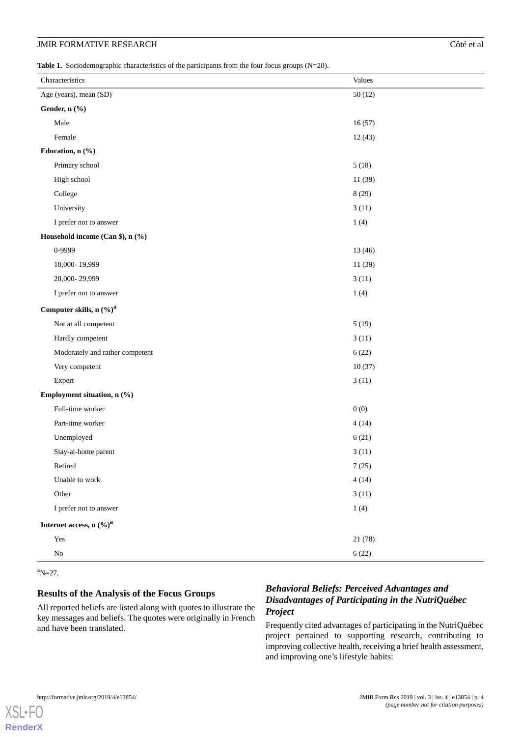#### **JMIR FORMATIVE RESEARCH CONSUMING A LOCAL CONSUMING A LOCAL CONSUMING CONSUMING A LOCAL CONSUMING CONSUMING CONSUMING A LOCAL CONSUMING CONSUMING A LOCAL CONSUMING CONSUMING A LOCAL CONSUMING CONSUMING A LOCAL CONSUMING A**

<span id="page-3-0"></span>Table 1. Sociodemographic characteristics of the participants from the four focus groups (N=28).

| Characteristics                        | Values  |
|----------------------------------------|---------|
| Age (years), mean (SD)                 | 50(12)  |
| Gender, n (%)                          |         |
| Male                                   | 16(57)  |
| Female                                 | 12(43)  |
| Education, n (%)                       |         |
| Primary school                         | 5(18)   |
| High school                            | 11 (39) |
| College                                | 8(29)   |
| University                             | 3(11)   |
| I prefer not to answer                 | 1(4)    |
| Household income (Can \$), n (%)       |         |
| 0-9999                                 | 13 (46) |
| 10,000-19,999                          | 11 (39) |
| 20,000-29,999                          | 3(11)   |
| I prefer not to answer                 | 1(4)    |
| Computer skills, n $\left(\%\right)^a$ |         |
| Not at all competent                   | 5(19)   |
| Hardly competent                       | 3(11)   |
| Moderately and rather competent        | 6(22)   |
| Very competent                         | 10(37)  |
| Expert                                 | 3(11)   |
| Employment situation, n (%)            |         |
| Full-time worker                       | 0(0)    |
| Part-time worker                       | 4(14)   |
| Unemployed                             | 6(21)   |
| Stay-at-home parent                    | 3(11)   |
| Retired                                | 7(25)   |
| Unable to work                         | 4(14)   |
| Other                                  | 3(11)   |
| I prefer not to answer                 | 1(4)    |
| Internet access, $n$ (%) <sup>a</sup>  |         |
| Yes                                    | 21 (78) |
| ${\rm No}$                             | 6(22)   |

 $a_{N=27}$ .

[XSL](http://www.w3.org/Style/XSL)•FO **[RenderX](http://www.renderx.com/)**

### **Results of the Analysis of the Focus Groups**

All reported beliefs are listed along with quotes to illustrate the key messages and beliefs. The quotes were originally in French and have been translated.

# *Behavioral Beliefs: Perceived Advantages and Disadvantages of Participating in the NutriQuébec Project*

Frequently cited advantages of participating in the NutriQuébec project pertained to supporting research, contributing to improving collective health, receiving a brief health assessment, and improving one's lifestyle habits: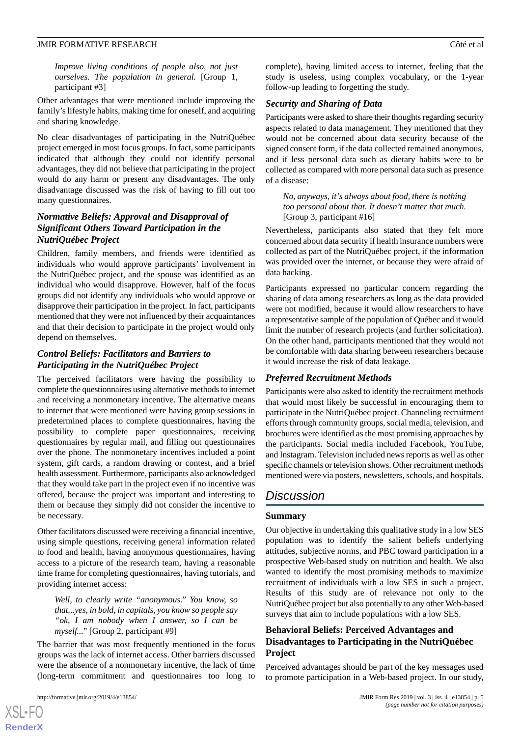*Improve living conditions of people also, not just ourselves. The population in general.* [Group 1, participant #3]

Other advantages that were mentioned include improving the family's lifestyle habits, making time for oneself, and acquiring and sharing knowledge.

No clear disadvantages of participating in the NutriQuébec project emerged in most focus groups. In fact, some participants indicated that although they could not identify personal advantages, they did not believe that participating in the project would do any harm or present any disadvantages. The only disadvantage discussed was the risk of having to fill out too many questionnaires.

# *Normative Beliefs: Approval and Disapproval of Significant Others Toward Participation in the NutriQuébec Project*

Children, family members, and friends were identified as individuals who would approve participants' involvement in the NutriQuébec project, and the spouse was identified as an individual who would disapprove. However, half of the focus groups did not identify any individuals who would approve or disapprove their participation in the project. In fact, participants mentioned that they were not influenced by their acquaintances and that their decision to participate in the project would only depend on themselves.

# *Control Beliefs: Facilitators and Barriers to Participating in the NutriQuébec Project*

The perceived facilitators were having the possibility to complete the questionnaires using alternative methods to internet and receiving a nonmonetary incentive. The alternative means to internet that were mentioned were having group sessions in predetermined places to complete questionnaires, having the possibility to complete paper questionnaires, receiving questionnaires by regular mail, and filling out questionnaires over the phone. The nonmonetary incentives included a point system, gift cards, a random drawing or contest, and a brief health assessment. Furthermore, participants also acknowledged that they would take part in the project even if no incentive was offered, because the project was important and interesting to them or because they simply did not consider the incentive to be necessary.

Other facilitators discussed were receiving a financial incentive, using simple questions, receiving general information related to food and health, having anonymous questionnaires, having access to a picture of the research team, having a reasonable time frame for completing questionnaires, having tutorials, and providing internet access:

*Well, to clearly write "anonymous." You know, so that...yes, in bold, in capitals, you know so people say "ok, I am nobody when I answer, so I can be myself..."* [Group 2, participant #9]

The barrier that was most frequently mentioned in the focus groups was the lack of internet access. Other barriers discussed were the absence of a nonmonetary incentive, the lack of time (long-term commitment and questionnaires too long to

complete), having limited access to internet, feeling that the study is useless, using complex vocabulary, or the 1-year follow-up leading to forgetting the study.

#### *Security and Sharing of Data*

Participants were asked to share their thoughts regarding security aspects related to data management. They mentioned that they would not be concerned about data security because of the signed consent form, if the data collected remained anonymous, and if less personal data such as dietary habits were to be collected as compared with more personal data such as presence of a disease:

*No, anyways, it's always about food, there is nothing too personal about that. It doesn't matter that much.* [Group 3, participant #16]

Nevertheless, participants also stated that they felt more concerned about data security if health insurance numbers were collected as part of the NutriQuébec project, if the information was provided over the internet, or because they were afraid of data hacking.

Participants expressed no particular concern regarding the sharing of data among researchers as long as the data provided were not modified, because it would allow researchers to have a representative sample of the population of Québec and it would limit the number of research projects (and further solicitation). On the other hand, participants mentioned that they would not be comfortable with data sharing between researchers because it would increase the risk of data leakage.

#### *Preferred Recruitment Methods*

Participants were also asked to identify the recruitment methods that would most likely be successful in encouraging them to participate in the NutriQuébec project. Channeling recruitment efforts through community groups, social media, television, and brochures were identified as the most promising approaches by the participants. Social media included Facebook, YouTube, and Instagram. Television included news reports as well as other specific channels or television shows. Other recruitment methods mentioned were via posters, newsletters, schools, and hospitals.

# *Discussion*

#### **Summary**

Our objective in undertaking this qualitative study in a low SES population was to identify the salient beliefs underlying attitudes, subjective norms, and PBC toward participation in a prospective Web-based study on nutrition and health. We also wanted to identify the most promising methods to maximize recruitment of individuals with a low SES in such a project. Results of this study are of relevance not only to the NutriQuébec project but also potentially to any other Web-based surveys that aim to include populations with a low SES.

# **Behavioral Beliefs: Perceived Advantages and Disadvantages to Participating in the NutriQuébec Project**

Perceived advantages should be part of the key messages used to promote participation in a Web-based project. In our study,

 $XS$  $\cdot$ FC **[RenderX](http://www.renderx.com/)**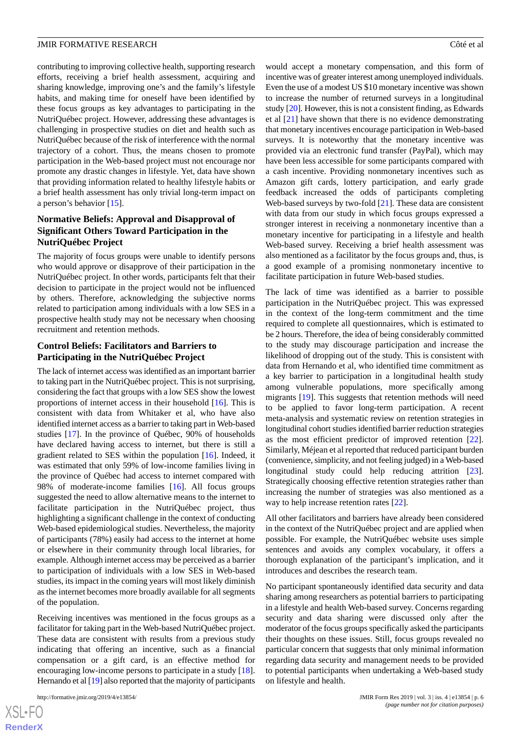contributing to improving collective health, supporting research efforts, receiving a brief health assessment, acquiring and sharing knowledge, improving one's and the family's lifestyle habits, and making time for oneself have been identified by these focus groups as key advantages to participating in the NutriQuébec project. However, addressing these advantages is challenging in prospective studies on diet and health such as NutriQuébec because of the risk of interference with the normal trajectory of a cohort. Thus, the means chosen to promote participation in the Web-based project must not encourage nor promote any drastic changes in lifestyle. Yet, data have shown that providing information related to healthy lifestyle habits or a brief health assessment has only trivial long-term impact on a person's behavior [[15\]](#page-7-14).

# **Normative Beliefs: Approval and Disapproval of Significant Others Toward Participation in the NutriQuébec Project**

The majority of focus groups were unable to identify persons who would approve or disapprove of their participation in the NutriQuébec project. In other words, participants felt that their decision to participate in the project would not be influenced by others. Therefore, acknowledging the subjective norms related to participation among individuals with a low SES in a prospective health study may not be necessary when choosing recruitment and retention methods.

## **Control Beliefs: Facilitators and Barriers to Participating in the NutriQuébec Project**

The lack of internet access was identified as an important barrier to taking part in the NutriQuébec project. This is not surprising, considering the fact that groups with a low SES show the lowest proportions of internet access in their household [\[16](#page-7-15)]. This is consistent with data from Whitaker et al, who have also identified internet access as a barrier to taking part in Web-based studies [\[17](#page-7-16)]. In the province of Québec, 90% of households have declared having access to internet, but there is still a gradient related to SES within the population [\[16](#page-7-15)]. Indeed, it was estimated that only 59% of low-income families living in the province of Québec had access to internet compared with 98% of moderate-income families [\[16](#page-7-15)]. All focus groups suggested the need to allow alternative means to the internet to facilitate participation in the NutriQuébec project, thus highlighting a significant challenge in the context of conducting Web-based epidemiological studies. Nevertheless, the majority of participants (78%) easily had access to the internet at home or elsewhere in their community through local libraries, for example. Although internet access may be perceived as a barrier to participation of individuals with a low SES in Web-based studies, its impact in the coming years will most likely diminish as the internet becomes more broadly available for all segments of the population.

Receiving incentives was mentioned in the focus groups as a facilitator for taking part in the Web-based NutriQuébec project. These data are consistent with results from a previous study indicating that offering an incentive, such as a financial compensation or a gift card, is an effective method for encouraging low-income persons to participate in a study [[18\]](#page-7-17). Hernando et al [\[19\]](#page-7-18) also reported that the majority of participants

would accept a monetary compensation, and this form of incentive was of greater interest among unemployed individuals. Even the use of a modest US \$10 monetary incentive was shown to increase the number of returned surveys in a longitudinal study [\[20](#page-7-19)]. However, this is not a consistent finding, as Edwards et al [\[21](#page-7-20)] have shown that there is no evidence demonstrating that monetary incentives encourage participation in Web-based surveys. It is noteworthy that the monetary incentive was provided via an electronic fund transfer (PayPal), which may have been less accessible for some participants compared with a cash incentive. Providing nonmonetary incentives such as Amazon gift cards, lottery participation, and early grade feedback increased the odds of participants completing Web-based surveys by two-fold [[21\]](#page-7-20). These data are consistent with data from our study in which focus groups expressed a stronger interest in receiving a nonmonetary incentive than a monetary incentive for participating in a lifestyle and health Web-based survey. Receiving a brief health assessment was also mentioned as a facilitator by the focus groups and, thus, is a good example of a promising nonmonetary incentive to facilitate participation in future Web-based studies.

The lack of time was identified as a barrier to possible participation in the NutriQuébec project. This was expressed in the context of the long-term commitment and the time required to complete all questionnaires, which is estimated to be 2 hours. Therefore, the idea of being considerably committed to the study may discourage participation and increase the likelihood of dropping out of the study. This is consistent with data from Hernando et al, who identified time commitment as a key barrier to participation in a longitudinal health study among vulnerable populations, more specifically among migrants [\[19](#page-7-18)]. This suggests that retention methods will need to be applied to favor long-term participation. A recent meta-analysis and systematic review on retention strategies in longitudinal cohort studies identified barrier reduction strategies as the most efficient predictor of improved retention [[22\]](#page-8-0). Similarly, Méjean et al reported that reduced participant burden (convenience, simplicity, and not feeling judged) in a Web-based longitudinal study could help reducing attrition [[23\]](#page-8-1). Strategically choosing effective retention strategies rather than increasing the number of strategies was also mentioned as a way to help increase retention rates [[22\]](#page-8-0).

All other facilitators and barriers have already been considered in the context of the NutriQuébec project and are applied when possible. For example, the NutriQuébec website uses simple sentences and avoids any complex vocabulary, it offers a thorough explanation of the participant's implication, and it introduces and describes the research team.

No participant spontaneously identified data security and data sharing among researchers as potential barriers to participating in a lifestyle and health Web-based survey. Concerns regarding security and data sharing were discussed only after the moderator of the focus groups specifically asked the participants their thoughts on these issues. Still, focus groups revealed no particular concern that suggests that only minimal information regarding data security and management needs to be provided to potential participants when undertaking a Web-based study on lifestyle and health.

[XSL](http://www.w3.org/Style/XSL)•FO **[RenderX](http://www.renderx.com/)**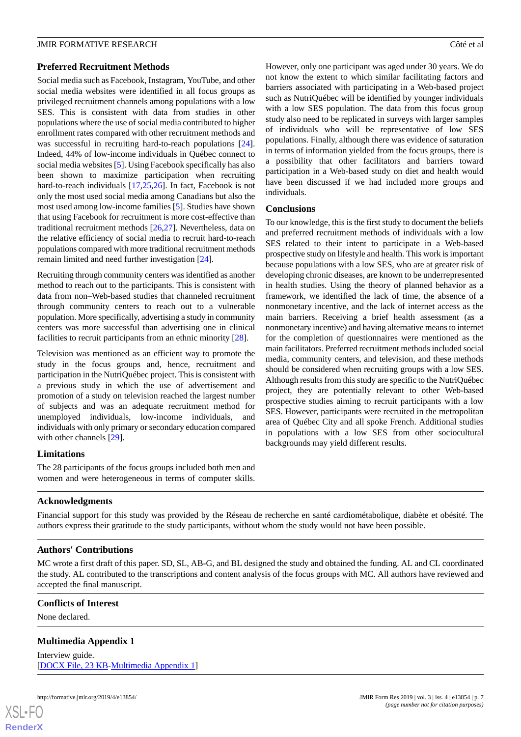#### **Preferred Recruitment Methods**

Social media such as Facebook, Instagram, YouTube, and other social media websites were identified in all focus groups as privileged recruitment channels among populations with a low SES. This is consistent with data from studies in other populations where the use of social media contributed to higher enrollment rates compared with other recruitment methods and was successful in recruiting hard-to-reach populations [[24\]](#page-8-2). Indeed, 44% of low-income individuals in Québec connect to social media websites [[5\]](#page-7-4). Using Facebook specifically has also been shown to maximize participation when recruiting hard-to-reach individuals [\[17](#page-7-16),[25,](#page-8-3)[26\]](#page-8-4). In fact, Facebook is not only the most used social media among Canadians but also the most used among low-income families [[5\]](#page-7-4). Studies have shown that using Facebook for recruitment is more cost-effective than traditional recruitment methods [[26](#page-8-4)[,27](#page-8-5)]. Nevertheless, data on the relative efficiency of social media to recruit hard-to-reach populations compared with more traditional recruitment methods remain limited and need further investigation [[24\]](#page-8-2).

Recruiting through community centers was identified as another method to reach out to the participants. This is consistent with data from non–Web-based studies that channeled recruitment through community centers to reach out to a vulnerable population. More specifically, advertising a study in community centers was more successful than advertising one in clinical facilities to recruit participants from an ethnic minority [\[28](#page-8-6)].

Television was mentioned as an efficient way to promote the study in the focus groups and, hence, recruitment and participation in the NutriQuébec project. This is consistent with a previous study in which the use of advertisement and promotion of a study on television reached the largest number of subjects and was an adequate recruitment method for unemployed individuals, low-income individuals, and individuals with only primary or secondary education compared with other channels [[29\]](#page-8-7).

The 28 participants of the focus groups included both men and women and were heterogeneous in terms of computer skills. However, only one participant was aged under 30 years. We do not know the extent to which similar facilitating factors and barriers associated with participating in a Web-based project such as NutriQuébec will be identified by younger individuals with a low SES population. The data from this focus group study also need to be replicated in surveys with larger samples of individuals who will be representative of low SES populations. Finally, although there was evidence of saturation in terms of information yielded from the focus groups, there is a possibility that other facilitators and barriers toward participation in a Web-based study on diet and health would have been discussed if we had included more groups and individuals.

# **Conclusions**

To our knowledge, this is the first study to document the beliefs and preferred recruitment methods of individuals with a low SES related to their intent to participate in a Web-based prospective study on lifestyle and health. This work is important because populations with a low SES, who are at greater risk of developing chronic diseases, are known to be underrepresented in health studies. Using the theory of planned behavior as a framework, we identified the lack of time, the absence of a nonmonetary incentive, and the lack of internet access as the main barriers. Receiving a brief health assessment (as a nonmonetary incentive) and having alternative means to internet for the completion of questionnaires were mentioned as the main facilitators. Preferred recruitment methods included social media, community centers, and television, and these methods should be considered when recruiting groups with a low SES. Although results from this study are specific to the NutriQuébec project, they are potentially relevant to other Web-based prospective studies aiming to recruit participants with a low SES. However, participants were recruited in the metropolitan area of Québec City and all spoke French. Additional studies in populations with a low SES from other sociocultural backgrounds may yield different results.

# **Acknowledgments**

Financial support for this study was provided by the Réseau de recherche en santé cardiométabolique, diabète et obésité. The authors express their gratitude to the study participants, without whom the study would not have been possible.

# **Authors' Contributions**

<span id="page-6-0"></span>MC wrote a first draft of this paper. SD, SL, AB-G, and BL designed the study and obtained the funding. AL and CL coordinated the study. AL contributed to the transcriptions and content analysis of the focus groups with MC. All authors have reviewed and accepted the final manuscript.

# **Conflicts of Interest**

None declared.

# **Multimedia Appendix 1**

Interview guide. [[DOCX File, 23 KB-Multimedia Appendix 1](https://jmir.org/api/download?alt_name=formative_v3i4e13854_app1.docx&filename=12c9e35fa51381b789d7f7b4d4bb9d5a.docx)]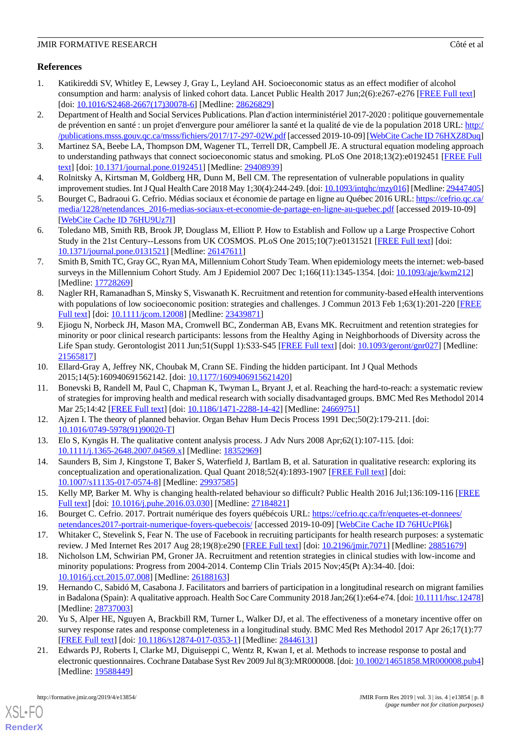# **References**

- <span id="page-7-0"></span>1. Katikireddi SV, Whitley E, Lewsey J, Gray L, Leyland AH. Socioeconomic status as an effect modifier of alcohol consumption and harm: analysis of linked cohort data. Lancet Public Health 2017 Jun;2(6):e267-e276 [[FREE Full text](https://linkinghub.elsevier.com/retrieve/pii/S2468-2667(17)30078-6)] [doi: [10.1016/S2468-2667\(17\)30078-6](http://dx.doi.org/10.1016/S2468-2667(17)30078-6)] [Medline: [28626829\]](http://www.ncbi.nlm.nih.gov/entrez/query.fcgi?cmd=Retrieve&db=PubMed&list_uids=28626829&dopt=Abstract)
- <span id="page-7-2"></span>2. Department of Health and Social Services Publications. Plan d'action interministériel 2017-2020 : politique gouvernementale de prévention en santé : un projet d'envergure pour améliorer la santé et la qualité de vie de la population 2018 URL: [http:/](http://publications.msss.gouv.qc.ca/msss/fichiers/2017/17-297-02W.pdf) [/publications.msss.gouv.qc.ca/msss/fichiers/2017/17-297-02W.pdf](http://publications.msss.gouv.qc.ca/msss/fichiers/2017/17-297-02W.pdf) [accessed 2019-10-09] [\[WebCite Cache ID 76HXZ8Duq](http://www.webcitation.org/

                                76HXZ8Duq)]
- <span id="page-7-3"></span><span id="page-7-1"></span>3. Martinez SA, Beebe LA, Thompson DM, Wagener TL, Terrell DR, Campbell JE. A structural equation modeling approach to understanding pathways that connect socioeconomic status and smoking. PLoS One 2018;13(2):e0192451 [[FREE Full](http://dx.plos.org/10.1371/journal.pone.0192451) [text](http://dx.plos.org/10.1371/journal.pone.0192451)] [doi: [10.1371/journal.pone.0192451\]](http://dx.doi.org/10.1371/journal.pone.0192451) [Medline: [29408939](http://www.ncbi.nlm.nih.gov/entrez/query.fcgi?cmd=Retrieve&db=PubMed&list_uids=29408939&dopt=Abstract)]
- <span id="page-7-4"></span>4. Rolnitsky A, Kirtsman M, Goldberg HR, Dunn M, Bell CM. The representation of vulnerable populations in quality improvement studies. Int J Qual Health Care 2018 May 1;30(4):244-249. [doi: [10.1093/intqhc/mzy016](http://dx.doi.org/10.1093/intqhc/mzy016)] [Medline: [29447405\]](http://www.ncbi.nlm.nih.gov/entrez/query.fcgi?cmd=Retrieve&db=PubMed&list_uids=29447405&dopt=Abstract)
- <span id="page-7-5"></span>5. Bourget C, Badraoui G. Cefrio. Médias sociaux et économie de partage en ligne au Québec 2016 URL: [https://cefrio.qc.ca/](https://cefrio.qc.ca/media/1228/netendances_2016-medias-sociaux-et-economie-de-partage-en-ligne-au-quebec.pdf) [media/1228/netendances\\_2016-medias-sociaux-et-economie-de-partage-en-ligne-au-quebec.pdf](https://cefrio.qc.ca/media/1228/netendances_2016-medias-sociaux-et-economie-de-partage-en-ligne-au-quebec.pdf) [accessed 2019-10-09] [[WebCite Cache ID 76HU9Uz7I](http://www.webcitation.org/

                                76HU9Uz7I)]
- <span id="page-7-6"></span>6. Toledano MB, Smith RB, Brook JP, Douglass M, Elliott P. How to Establish and Follow up a Large Prospective Cohort Study in the 21st Century--Lessons from UK COSMOS. PLoS One 2015;10(7):e0131521 [[FREE Full text\]](http://dx.plos.org/10.1371/journal.pone.0131521) [doi: [10.1371/journal.pone.0131521\]](http://dx.doi.org/10.1371/journal.pone.0131521) [Medline: [26147611](http://www.ncbi.nlm.nih.gov/entrez/query.fcgi?cmd=Retrieve&db=PubMed&list_uids=26147611&dopt=Abstract)]
- <span id="page-7-7"></span>7. Smith B, Smith TC, Gray GC, Ryan MA, Millennium Cohort Study Team. When epidemiology meets the internet: web-based surveys in the Millennium Cohort Study. Am J Epidemiol 2007 Dec 1;166(11):1345-1354. [doi: [10.1093/aje/kwm212\]](http://dx.doi.org/10.1093/aje/kwm212) [Medline: [17728269](http://www.ncbi.nlm.nih.gov/entrez/query.fcgi?cmd=Retrieve&db=PubMed&list_uids=17728269&dopt=Abstract)]
- <span id="page-7-9"></span>8. Nagler RH, Ramanadhan S, Minsky S, Viswanath K. Recruitment and retention for community-based eHealth interventions with populations of low socioeconomic position: strategies and challenges. J Commun 2013 Feb 1;63(1):201-220 [[FREE](http://europepmc.org/abstract/MED/23439871) [Full text\]](http://europepmc.org/abstract/MED/23439871) [doi: [10.1111/jcom.12008\]](http://dx.doi.org/10.1111/jcom.12008) [Medline: [23439871\]](http://www.ncbi.nlm.nih.gov/entrez/query.fcgi?cmd=Retrieve&db=PubMed&list_uids=23439871&dopt=Abstract)
- <span id="page-7-8"></span>9. Ejiogu N, Norbeck JH, Mason MA, Cromwell BC, Zonderman AB, Evans MK. Recruitment and retention strategies for minority or poor clinical research participants: lessons from the Healthy Aging in Neighborhoods of Diversity across the Life Span study. Gerontologist 2011 Jun;51(Suppl 1):S33-S45 [\[FREE Full text\]](http://europepmc.org/abstract/MED/21565817) [doi: [10.1093/geront/gnr027](http://dx.doi.org/10.1093/geront/gnr027)] [Medline: [21565817](http://www.ncbi.nlm.nih.gov/entrez/query.fcgi?cmd=Retrieve&db=PubMed&list_uids=21565817&dopt=Abstract)]
- <span id="page-7-10"></span>10. Ellard-Gray A, Jeffrey NK, Choubak M, Crann SE. Finding the hidden participant. Int J Qual Methods 2015;14(5):160940691562142. [doi: [10.1177/1609406915621420](http://dx.doi.org/10.1177/1609406915621420)]
- <span id="page-7-12"></span><span id="page-7-11"></span>11. Bonevski B, Randell M, Paul C, Chapman K, Twyman L, Bryant J, et al. Reaching the hard-to-reach: a systematic review of strategies for improving health and medical research with socially disadvantaged groups. BMC Med Res Methodol 2014 Mar 25;14:42 [\[FREE Full text\]](https://bmcmedresmethodol.biomedcentral.com/articles/10.1186/1471-2288-14-42) [doi: [10.1186/1471-2288-14-42\]](http://dx.doi.org/10.1186/1471-2288-14-42) [Medline: [24669751\]](http://www.ncbi.nlm.nih.gov/entrez/query.fcgi?cmd=Retrieve&db=PubMed&list_uids=24669751&dopt=Abstract)
- <span id="page-7-13"></span>12. Ajzen I. The theory of planned behavior. Organ Behav Hum Decis Process 1991 Dec;50(2):179-211. [doi: [10.1016/0749-5978\(91\)90020-T](http://dx.doi.org/10.1016/0749-5978(91)90020-T)]
- <span id="page-7-14"></span>13. Elo S, Kyngäs H. The qualitative content analysis process. J Adv Nurs 2008 Apr;62(1):107-115. [doi: [10.1111/j.1365-2648.2007.04569.x\]](http://dx.doi.org/10.1111/j.1365-2648.2007.04569.x) [Medline: [18352969\]](http://www.ncbi.nlm.nih.gov/entrez/query.fcgi?cmd=Retrieve&db=PubMed&list_uids=18352969&dopt=Abstract)
- <span id="page-7-15"></span>14. Saunders B, Sim J, Kingstone T, Baker S, Waterfield J, Bartlam B, et al. Saturation in qualitative research: exploring its conceptualization and operationalization. Qual Quant 2018;52(4):1893-1907 [[FREE Full text](http://europepmc.org/abstract/MED/29937585)] [doi: [10.1007/s11135-017-0574-8\]](http://dx.doi.org/10.1007/s11135-017-0574-8) [Medline: [29937585](http://www.ncbi.nlm.nih.gov/entrez/query.fcgi?cmd=Retrieve&db=PubMed&list_uids=29937585&dopt=Abstract)]
- <span id="page-7-17"></span><span id="page-7-16"></span>15. Kelly MP, Barker M. Why is changing health-related behaviour so difficult? Public Health 2016 Jul;136:109-116 [\[FREE](https://linkinghub.elsevier.com/retrieve/pii/S0033-3506(16)30017-8) [Full text\]](https://linkinghub.elsevier.com/retrieve/pii/S0033-3506(16)30017-8) [doi: [10.1016/j.puhe.2016.03.030\]](http://dx.doi.org/10.1016/j.puhe.2016.03.030) [Medline: [27184821\]](http://www.ncbi.nlm.nih.gov/entrez/query.fcgi?cmd=Retrieve&db=PubMed&list_uids=27184821&dopt=Abstract)
- 16. Bourget C. Cefrio. 2017. Portrait numérique des foyers québécois URL: [https://cefrio.qc.ca/fr/enquetes-et-donnees/](https://cefrio.qc.ca/fr/enquetes-et-donnees/netendances2017-portrait-numerique-foyers-quebecois/) [netendances2017-portrait-numerique-foyers-quebecois/](https://cefrio.qc.ca/fr/enquetes-et-donnees/netendances2017-portrait-numerique-foyers-quebecois/) [accessed 2019-10-09] [[WebCite Cache ID 76HUcPI6k](http://www.webcitation.org/

                                76HUcPI6k)]
- <span id="page-7-18"></span>17. Whitaker C, Stevelink S, Fear N. The use of Facebook in recruiting participants for health research purposes: a systematic review. J Med Internet Res 2017 Aug 28;19(8):e290 [[FREE Full text](https://www.jmir.org/2017/8/e290/)] [doi: [10.2196/jmir.7071](http://dx.doi.org/10.2196/jmir.7071)] [Medline: [28851679\]](http://www.ncbi.nlm.nih.gov/entrez/query.fcgi?cmd=Retrieve&db=PubMed&list_uids=28851679&dopt=Abstract)
- <span id="page-7-19"></span>18. Nicholson LM, Schwirian PM, Groner JA. Recruitment and retention strategies in clinical studies with low-income and minority populations: Progress from 2004-2014. Contemp Clin Trials 2015 Nov;45(Pt A):34-40. [doi: [10.1016/j.cct.2015.07.008](http://dx.doi.org/10.1016/j.cct.2015.07.008)] [Medline: [26188163](http://www.ncbi.nlm.nih.gov/entrez/query.fcgi?cmd=Retrieve&db=PubMed&list_uids=26188163&dopt=Abstract)]
- <span id="page-7-20"></span>19. Hernando C, Sabidó M, Casabona J. Facilitators and barriers of participation in a longitudinal research on migrant families in Badalona (Spain): A qualitative approach. Health Soc Care Community 2018 Jan;26(1):e64-e74. [doi: [10.1111/hsc.12478](http://dx.doi.org/10.1111/hsc.12478)] [Medline: [28737003](http://www.ncbi.nlm.nih.gov/entrez/query.fcgi?cmd=Retrieve&db=PubMed&list_uids=28737003&dopt=Abstract)]
- 20. Yu S, Alper HE, Nguyen A, Brackbill RM, Turner L, Walker DJ, et al. The effectiveness of a monetary incentive offer on survey response rates and response completeness in a longitudinal study. BMC Med Res Methodol 2017 Apr 26;17(1):77 [[FREE Full text](https://bmcmedresmethodol.biomedcentral.com/articles/10.1186/s12874-017-0353-1)] [doi: [10.1186/s12874-017-0353-1\]](http://dx.doi.org/10.1186/s12874-017-0353-1) [Medline: [28446131](http://www.ncbi.nlm.nih.gov/entrez/query.fcgi?cmd=Retrieve&db=PubMed&list_uids=28446131&dopt=Abstract)]
- 21. Edwards PJ, Roberts I, Clarke MJ, Diguiseppi C, Wentz R, Kwan I, et al. Methods to increase response to postal and electronic questionnaires. Cochrane Database Syst Rev 2009 Jul 8(3):MR000008. [doi: [10.1002/14651858.MR000008.pub4\]](http://dx.doi.org/10.1002/14651858.MR000008.pub4) [Medline: [19588449](http://www.ncbi.nlm.nih.gov/entrez/query.fcgi?cmd=Retrieve&db=PubMed&list_uids=19588449&dopt=Abstract)]

[XSL](http://www.w3.org/Style/XSL)•FO **[RenderX](http://www.renderx.com/)**